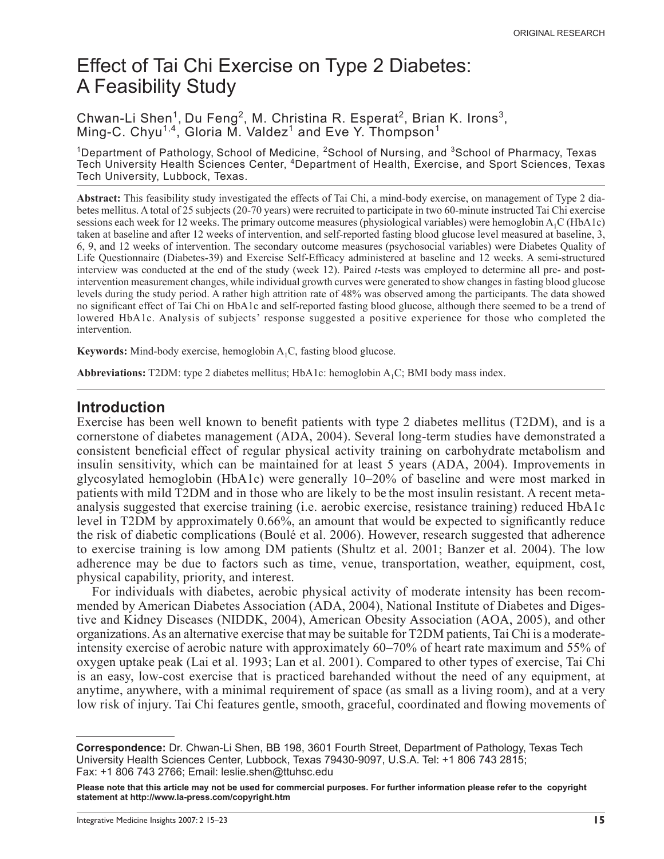# Effect of Tai Chi Exercise on Type 2 Diabetes: A Feasibility Study

#### Chwan-Li Shen<sup>1</sup>, Du Feng<sup>2</sup>, M. Christina R. Esperat<sup>2</sup>, Brian K. Irons<sup>3</sup>, Ming-C. Chyu<sup>1,4</sup>, Gloria M. Valdez<sup>1</sup> and Eve Y. Thompson<sup>1</sup>

<sup>1</sup>Department of Pathology, School of Medicine, <sup>2</sup>School of Nursing, and <sup>3</sup>School of Pharmacy, Texas Tech University Health Sciences Center, 4Department of Health, Exercise, and Sport Sciences, Texas Tech University, Lubbock, Texas.

**Abstract:** This feasibility study investigated the effects of Tai Chi, a mind-body exercise, on management of Type 2 diabetes mellitus. A total of 25 subjects (20-70 years) were recruited to participate in two 60-minute instructed Tai Chi exercise sessions each week for 12 weeks. The primary outcome measures (physiological variables) were hemoglobin A<sub>1</sub>C (HbA1c) taken at baseline and after 12 weeks of intervention, and self-reported fasting blood glucose level measured at baseline, 3, 6, 9, and 12 weeks of intervention. The secondary outcome measures (psychosocial variables) were Diabetes Quality of Life Questionnaire (Diabetes-39) and Exercise Self-Efficacy administered at baseline and 12 weeks. A semi-structured interview was conducted at the end of the study (week 12). Paired *t*-tests was employed to determine all pre- and postintervention measurement changes, while individual growth curves were generated to show changes in fasting blood glucose levels during the study period. A rather high attrition rate of 48% was observed among the participants. The data showed no significant effect of Tai Chi on HbA1c and self-reported fasting blood glucose, although there seemed to be a trend of lowered HbA1c. Analysis of subjects' response suggested a positive experience for those who completed the intervention.

**Keywords:** Mind-body exercise, hemoglobin  $A_1C$ , fasting blood glucose.

**Abbreviations:** T2DM: type 2 diabetes mellitus; HbA1c: hemoglobin  $A_1C$ ; BMI body mass index.

#### **Introduction**

Exercise has been well known to benefit patients with type 2 diabetes mellitus (T2DM), and is a cornerstone of diabetes management (ADA, 2004). Several long-term studies have demonstrated a consistent beneficial effect of regular physical activity training on carbohydrate metabolism and insulin sensitivity, which can be maintained for at least 5 years (ADA, 2004). Improvements in glycosylated hemoglobin (HbA1c) were generally 10–20% of baseline and were most marked in patients with mild T2DM and in those who are likely to be the most insulin resistant. A recent metaanalysis suggested that exercise training (i.e. aerobic exercise, resistance training) reduced HbA1c level in T2DM by approximately 0.66%, an amount that would be expected to significantly reduce the risk of diabetic complications (Boulé et al. 2006). However, research suggested that adherence to exercise training is low among DM patients (Shultz et al. 2001; Banzer et al. 2004). The low adherence may be due to factors such as time, venue, transportation, weather, equipment, cost, physical capability, priority, and interest.

For individuals with diabetes, aerobic physical activity of moderate intensity has been recommended by American Diabetes Association (ADA, 2004), National Institute of Diabetes and Digestive and Kidney Diseases (NIDDK, 2004), American Obesity Association (AOA, 2005), and other organizations. As an alternative exercise that may be suitable for T2DM patients, Tai Chi is a moderateintensity exercise of aerobic nature with approximately 60–70% of heart rate maximum and 55% of oxygen uptake peak (Lai et al. 1993; Lan et al. 2001). Compared to other types of exercise, Tai Chi is an easy, low-cost exercise that is practiced barehanded without the need of any equipment, at anytime, anywhere, with a minimal requirement of space (as small as a living room), and at a very low risk of injury. Tai Chi features gentle, smooth, graceful, coordinated and flowing movements of

**Correspondence:** Dr. Chwan-Li Shen, BB 198, 3601 Fourth Street, Department of Pathology, Texas Tech University Health Sciences Center, Lubbock, Texas 79430-9097, U.S.A. Tel: +1 806 743 2815; Fax: +1 806 743 2766; Email: leslie.shen@ttuhsc.edu

**Please note that this article may not be used for commercial purposes. For further information please refer to the copyright statement at http://www.la-press.com/copyright.htm**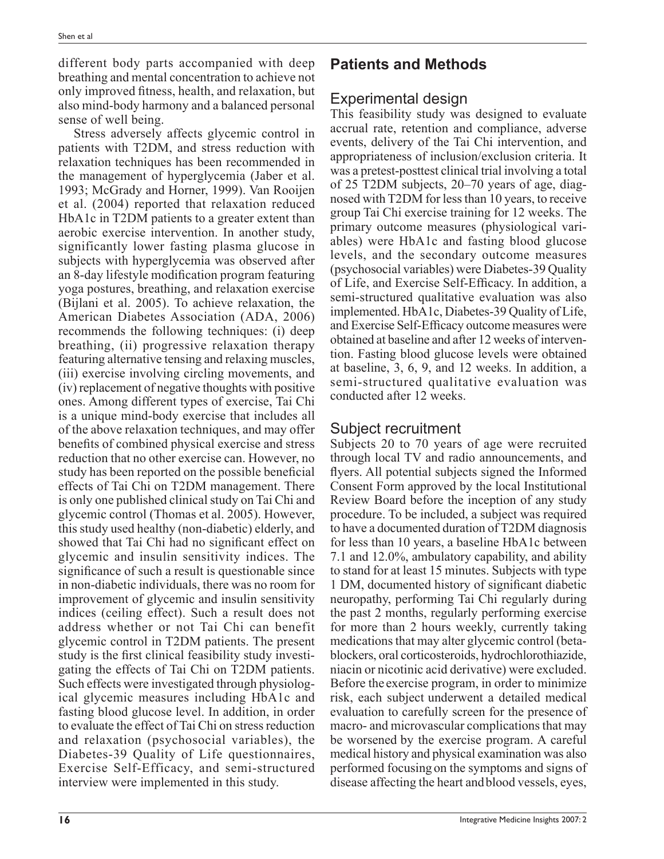different body parts accompanied with deep breathing and mental concentration to achieve not only improved fitness, health, and relaxation, but also mind-body harmony and a balanced personal sense of well being.

Stress adversely affects glycemic control in patients with T2DM, and stress reduction with relaxation techniques has been recommended in the management of hyperglycemia (Jaber et al. 1993; McGrady and Horner, 1999). Van Rooijen et al. (2004) reported that relaxation reduced HbA1c in T2DM patients to a greater extent than aerobic exercise intervention. In another study, significantly lower fasting plasma glucose in subjects with hyperglycemia was observed after an 8-day lifestyle modification program featuring yoga postures, breathing, and relaxation exercise (Bijlani et al. 2005). To achieve relaxation, the American Diabetes Association (ADA, 2006) recommends the following techniques: (i) deep breathing, (ii) progressive relaxation therapy featuring alternative tensing and relaxing muscles, (iii) exercise involving circling movements, and (iv) replacement of negative thoughts with positive ones. Among different types of exercise, Tai Chi is a unique mind-body exercise that includes all of the above relaxation techniques, and may offer benefits of combined physical exercise and stress reduction that no other exercise can. However, no study has been reported on the possible beneficial effects of Tai Chi on T2DM management. There is only one published clinical study on Tai Chi and glycemic control (Thomas et al. 2005). However, this study used healthy (non-diabetic) elderly, and showed that Tai Chi had no significant effect on glycemic and insulin sensitivity indices. The significance of such a result is questionable since in non-diabetic individuals, there was no room for improvement of glycemic and insulin sensitivity indices (ceiling effect). Such a result does not address whether or not Tai Chi can benefit glycemic control in T2DM patients. The present study is the first clinical feasibility study investigating the effects of Tai Chi on T2DM patients. Such effects were investigated through physiological glycemic measures including HbA1c and fasting blood glucose level. In addition, in order to evaluate the effect of Tai Chi on stress reduction and relaxation (psychosocial variables), the Diabetes-39 Quality of Life questionnaires, Exercise Self-Efficacy, and semi-structured interview were implemented in this study.

# **Patients and Methods**

### Experimental design

This feasibility study was designed to evaluate accrual rate, retention and compliance, adverse events, delivery of the Tai Chi intervention, and appropriateness of inclusion/exclusion criteria. It was a pretest-posttest clinical trial involving a total of 25 T2DM subjects, 20–70 years of age, diagnosed with T2DM for less than 10 years, to receive group Tai Chi exercise training for 12 weeks. The primary outcome measures (physiological variables) were HbA1c and fasting blood glucose levels, and the secondary outcome measures (psychosocial variables) were Diabetes-39 Quality of Life, and Exercise Self-Efficacy. In addition, a semi-structured qualitative evaluation was also implemented. HbA1c, Diabetes-39 Quality of Life, and Exercise Self-Efficacy outcome measures were obtained at baseline and after 12 weeks of intervention. Fasting blood glucose levels were obtained at baseline, 3, 6, 9, and 12 weeks. In addition, a semi-structured qualitative evaluation was conducted after 12 weeks.

### Subject recruitment

Subjects 20 to 70 years of age were recruited through local TV and radio announcements, and flyers. All potential subjects signed the Informed Consent Form approved by the local Institutional Review Board before the inception of any study procedure. To be included, a subject was required to have a documented duration of T2DM diagnosis for less than 10 years, a baseline HbA1c between 7.1 and 12.0%, ambulatory capability, and ability to stand for at least 15 minutes. Subjects with type 1 DM, documented history of significant diabetic neuropathy, performing Tai Chi regularly during the past 2 months, regularly performing exercise for more than 2 hours weekly, currently taking medications that may alter glycemic control (betablockers, oral corticosteroids, hydrochlorothiazide, niacin or nicotinic acid derivative) were excluded. Before the exercise program, in order to minimize risk, each subject underwent a detailed medical evaluation to carefully screen for the presence of macro- and microvascular complications that may be worsened by the exercise program. A careful medical history and physical examination was also performed focusing on the symptoms and signs of disease affecting the heart andblood vessels, eyes,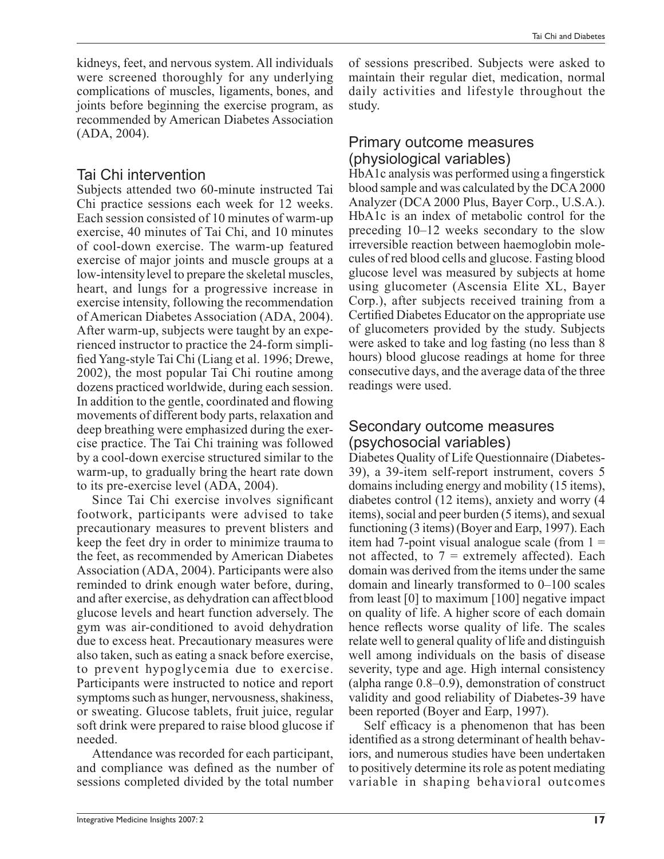kidneys, feet, and nervous system. All individuals were screened thoroughly for any underlying complications of muscles, ligaments, bones, and joints before beginning the exercise program, as recommended by American Diabetes Association (ADA, 2004).

### Tai Chi intervention

Subjects attended two 60-minute instructed Tai Chi practice sessions each week for 12 weeks. Each session consisted of 10 minutes of warm-up exercise, 40 minutes of Tai Chi, and 10 minutes of cool-down exercise. The warm-up featured exercise of major joints and muscle groups at a low-intensitylevel to prepare the skeletal muscles, heart, and lungs for a progressive increase in exercise intensity, following the recommendation of American Diabetes Association (ADA, 2004). After warm-up, subjects were taught by an experienced instructor to practice the 24-form simplified Yang-style Tai Chi (Liang et al. 1996; Drewe, 2002), the most popular Tai Chi routine among dozens practiced worldwide, during each session. In addition to the gentle, coordinated and flowing movements of different body parts, relaxation and deep breathing were emphasized during the exercise practice. The Tai Chi training was followed by a cool-down exercise structured similar to the warm-up, to gradually bring the heart rate down to its pre-exercise level (ADA, 2004).

Since Tai Chi exercise involves significant footwork, participants were advised to take precautionary measures to prevent blisters and keep the feet dry in order to minimize trauma to the feet, as recommended by American Diabetes Association (ADA, 2004). Participants were also reminded to drink enough water before, during, and after exercise, as dehydration can affectblood glucose levels and heart function adversely. The gym was air-conditioned to avoid dehydration due to excess heat. Precautionary measures were also taken, such as eating a snack before exercise, to prevent hypoglycemia due to exercise. Participants were instructed to notice and report symptoms such as hunger, nervousness, shakiness, or sweating. Glucose tablets, fruit juice, regular soft drink were prepared to raise blood glucose if needed.

Attendance was recorded for each participant, and compliance was defined as the number of sessions completed divided by the total number

Tai Chi and Diabetes

of sessions prescribed. Subjects were asked to maintain their regular diet, medication, normal daily activities and lifestyle throughout the study.

#### Primary outcome measures (physiological variables)

HbA1c analysis was performed using a fingerstick blood sample and was calculated by the DCA 2000 Analyzer (DCA 2000 Plus, Bayer Corp., U.S.A.). HbA1c is an index of metabolic control for the preceding 10–12 weeks secondary to the slow irreversible reaction between haemoglobin molecules of red blood cells and glucose. Fasting blood glucose level was measured by subjects at home using glucometer (Ascensia Elite XL, Bayer Corp.), after subjects received training from a Certified Diabetes Educator on the appropriate use of glucometers provided by the study. Subjects were asked to take and log fasting (no less than 8 hours) blood glucose readings at home for three consecutive days, and the average data of the three readings were used.

### Secondary outcome measures (psychosocial variables)

Diabetes Quality of Life Questionnaire (Diabetes-39), a 39-item self-report instrument, covers 5 domains including energy and mobility (15 items), diabetes control (12 items), anxiety and worry (4 items), social and peer burden (5 items), and sexual functioning (3 items) (Boyer and Earp, 1997). Each item had 7-point visual analogue scale (from  $1 =$ not affected, to  $7$  = extremely affected). Each domain was derived from the items under the same domain and linearly transformed to 0–100 scales from least [0] to maximum [100] negative impact on quality of life. A higher score of each domain hence reflects worse quality of life. The scales relate well to general quality of life and distinguish well among individuals on the basis of disease severity, type and age. High internal consistency (alpha range 0.8–0.9), demonstration of construct validity and good reliability of Diabetes-39 have been reported (Boyer and Earp, 1997).

Self efficacy is a phenomenon that has been identified as a strong determinant of health behaviors, and numerous studies have been undertaken to positively determine its role as potent mediating variable in shaping behavioral outcomes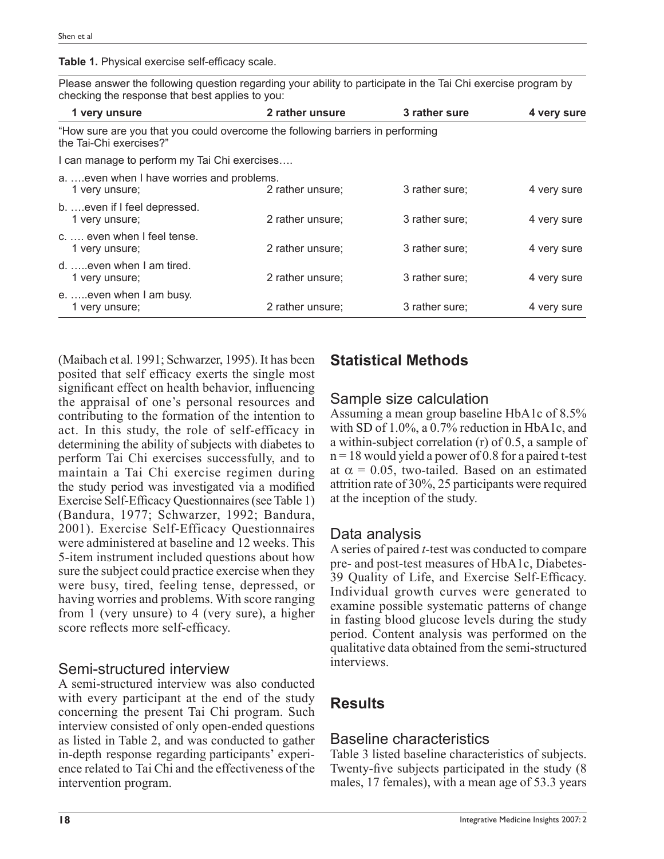Table 1. Physical exercise self-efficacy scale.

Please answer the following question regarding your ability to participate in the Tai Chi exercise program by checking the response that best applies to you:

| 1 very unsure                                                                                             | 2 rather unsure  | 3 rather sure  | 4 very sure |
|-----------------------------------------------------------------------------------------------------------|------------------|----------------|-------------|
| "How sure are you that you could overcome the following barriers in performing<br>the Tai-Chi exercises?" |                  |                |             |
| I can manage to perform my Tai Chi exercises                                                              |                  |                |             |
| aeven when I have worries and problems.<br>1 very unsure;                                                 | 2 rather unsure; | 3 rather sure; | 4 very sure |
| b.  even if I feel depressed.<br>1 very unsure;                                                           | 2 rather unsure: | 3 rather sure; | 4 very sure |
| c. , even when I feel tense.<br>1 very unsure;                                                            | 2 rather unsure: | 3 rather sure; | 4 very sure |
| d. even when I am tired.<br>1 very unsure;                                                                | 2 rather unsure: | 3 rather sure; | 4 very sure |
| e.  even when I am busy.<br>1 very unsure;                                                                | 2 rather unsure: | 3 rather sure: | 4 very sure |

(Maibach et al. 1991; Schwarzer, 1995). It has been posited that self efficacy exerts the single most significant effect on health behavior, influencing the appraisal of one's personal resources and contributing to the formation of the intention to act. In this study, the role of self-efficacy in determining the ability of subjects with diabetes to perform Tai Chi exercises successfully, and to maintain a Tai Chi exercise regimen during the study period was investigated via a modified Exercise Self-Efficacy Questionnaires (see Table 1) (Bandura, 1977; Schwarzer, 1992; Bandura, 2001). Exercise Self-Efficacy Questionnaires were administered at baseline and 12 weeks. This 5-item instrument included questions about how sure the subject could practice exercise when they were busy, tired, feeling tense, depressed, or having worries and problems. With score ranging from 1 (very unsure) to 4 (very sure), a higher score reflects more self-efficacy.

### Semi-structured interview

A semi-structured interview was also conducted with every participant at the end of the study concerning the present Tai Chi program. Such interview consisted of only open-ended questions as listed in Table 2, and was conducted to gather in-depth response regarding participants' experience related to Tai Chi and the effectiveness of the intervention program.

# **Statistical Methods**

## Sample size calculation

Assuming a mean group baseline HbA1c of 8.5% with SD of 1.0%, a 0.7% reduction in HbA1c, and a within-subject correlation (r) of 0.5, a sample of  $n = 18$  would yield a power of 0.8 for a paired t-test at  $\alpha$  = 0.05, two-tailed. Based on an estimated attrition rate of 30%, 25 participants were required at the inception of the study.

### Data analysis

A series of paired *t*-test was conducted to compare pre- and post-test measures of HbA1c, Diabetes-39 Quality of Life, and Exercise Self-Efficacy. Individual growth curves were generated to examine possible systematic patterns of change in fasting blood glucose levels during the study period. Content analysis was performed on the qualitative data obtained from the semi-structured interviews.

# **Results**

# Baseline characteristics

Table 3 listed baseline characteristics of subjects. Twenty-five subjects participated in the study (8) males, 17 females), with a mean age of 53.3 years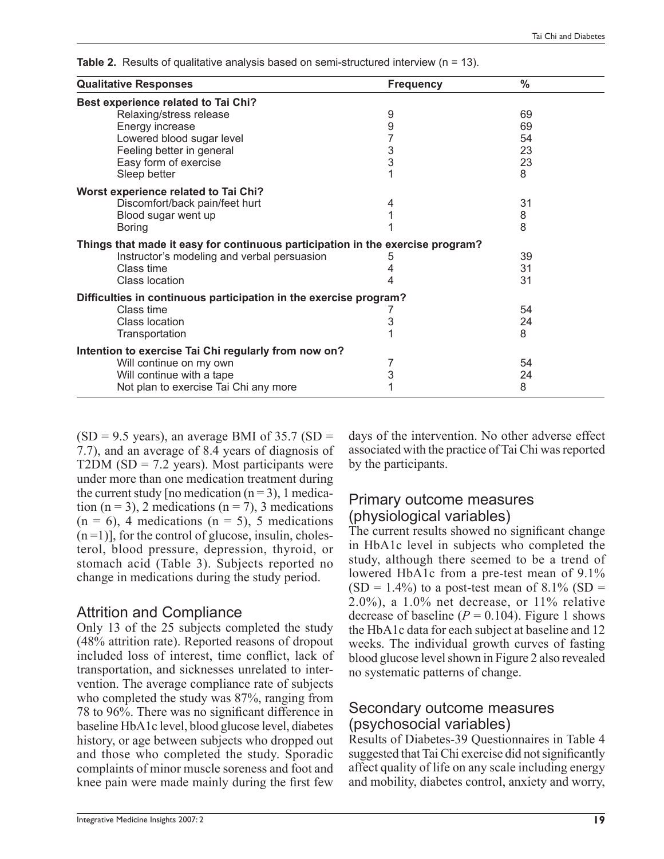| <b>Qualitative Responses</b>                                                   | <b>Frequency</b> | $\frac{0}{0}$ |
|--------------------------------------------------------------------------------|------------------|---------------|
| Best experience related to Tai Chi?                                            |                  |               |
| Relaxing/stress release                                                        | 9                | 69            |
| Energy increase                                                                | 9                | 69            |
| Lowered blood sugar level                                                      | 7                | 54            |
| Feeling better in general                                                      | $\frac{3}{3}$    | 23            |
| Easy form of exercise                                                          |                  | 23            |
| Sleep better                                                                   | 1                | 8             |
| Worst experience related to Tai Chi?                                           |                  |               |
| Discomfort/back pain/feet hurt                                                 | 4                | 31            |
| Blood sugar went up                                                            |                  | 8             |
| <b>Boring</b>                                                                  |                  | 8             |
| Things that made it easy for continuous participation in the exercise program? |                  |               |
| Instructor's modeling and verbal persuasion                                    | 5                | 39            |
| Class time                                                                     |                  | 31            |
| <b>Class location</b>                                                          | 4                | 31            |
| Difficulties in continuous participation in the exercise program?              |                  |               |
| Class time                                                                     |                  | 54            |
| Class location                                                                 | 3                | 24            |
| Transportation                                                                 |                  | 8             |
| Intention to exercise Tai Chi regularly from now on?                           |                  |               |
| Will continue on my own                                                        | 7                | 54            |
| Will continue with a tape                                                      | 3                | 24            |
| Not plan to exercise Tai Chi any more                                          |                  | 8             |

**Table 2.** Results of qualitative analysis based on semi-structured interview (n = 13).

 $(SD = 9.5$  years), an average BMI of 35.7  $(SD = 1.5)$ 7.7), and an average of 8.4 years of diagnosis of T2DM ( $SD = 7.2$  years). Most participants were under more than one medication treatment during the current study [no medication  $(n=3)$ , 1 medication (n = 3), 2 medications (n = 7), 3 medications  $(n = 6)$ , 4 medications  $(n = 5)$ , 5 medications  $(n=1)$ ], for the control of glucose, insulin, cholesterol, blood pressure, depression, thyroid, or stomach acid (Table 3). Subjects reported no change in medications during the study period.

### Attrition and Compliance

Only 13 of the 25 subjects completed the study (48% attrition rate). Reported reasons of dropout included loss of interest, time conflict, lack of transportation, and sicknesses unrelated to intervention. The average compliance rate of subjects who completed the study was 87%, ranging from 78 to 96%. There was no significant difference in baseline HbA1c level, blood glucose level, diabetes history, or age between subjects who dropped out and those who completed the study. Sporadic complaints of minor muscle soreness and foot and knee pain were made mainly during the first few

days of the intervention. No other adverse effect associated with the practice of Tai Chi was reported by the participants.

### Primary outcome measures (physiological variables)

The current results showed no significant change in HbA1c level in subjects who completed the study, although there seemed to be a trend of lowered HbA1c from a pre-test mean of 9.1%  $(SD = 1.4\%)$  to a post-test mean of 8.1%  $(SD =$ 2.0%), a 1.0% net decrease, or 11% relative decrease of baseline  $(P = 0.104)$ . Figure 1 shows the HbA1c data for each subject at baseline and 12 weeks. The individual growth curves of fasting blood glucose level shown in Figure 2 also revealed no systematic patterns of change.

### Secondary outcome measures (psychosocial variables)

Results of Diabetes-39 Questionnaires in Table 4 suggested that Tai Chi exercise did not significantly affect quality of life on any scale including energy and mobility, diabetes control, anxiety and worry,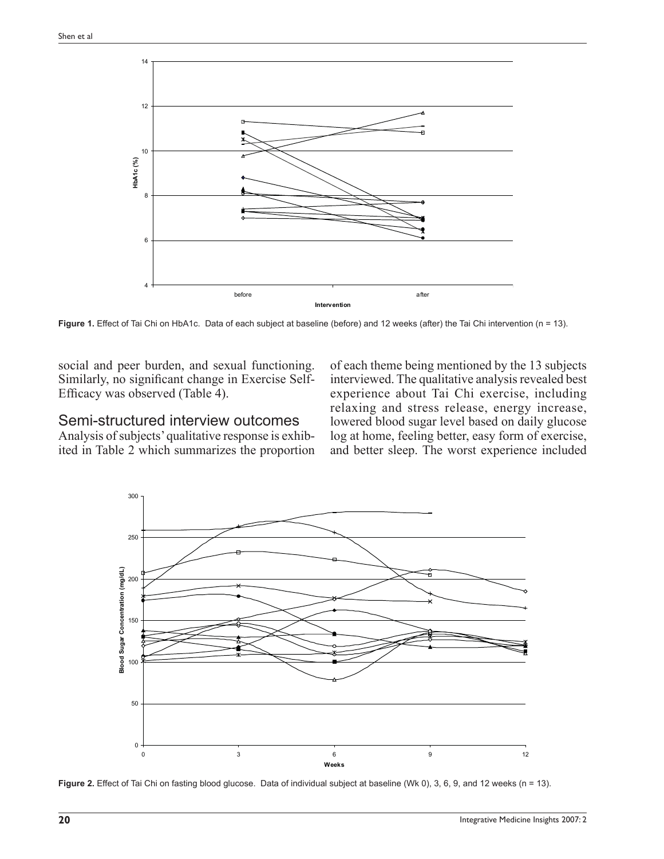

Figure 1. Effect of Tai Chi on HbA1c. Data of each subject at baseline (before) and 12 weeks (after) the Tai Chi intervention (n = 13).

social and peer burden, and sexual functioning. Similarly, no significant change in Exercise Self-Efficacy was observed (Table 4).

### Semi-structured interview outcomes

Analysis of subjects' qualitative response is exhibited in Table 2 which summarizes the proportion of each theme being mentioned by the 13 subjects interviewed. The qualitative analysis revealed best experience about Tai Chi exercise, including relaxing and stress release, energy increase, lowered blood sugar level based on daily glucose log at home, feeling better, easy form of exercise, and better sleep. The worst experience included



Figure 2. Effect of Tai Chi on fasting blood glucose. Data of individual subject at baseline (Wk 0), 3, 6, 9, and 12 weeks (n = 13).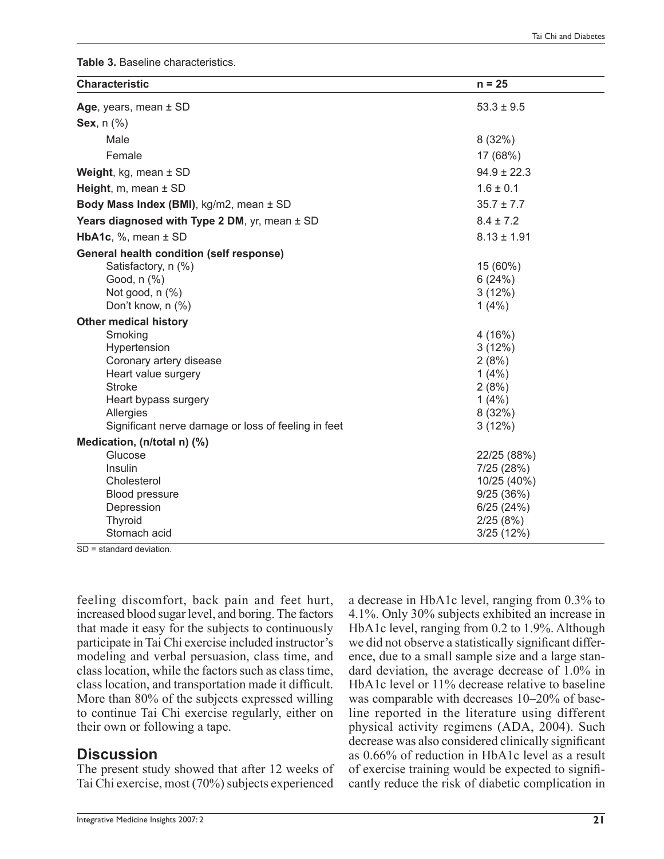**Table 3.** Baseline characteristics.

| <b>Characteristic</b>                                                                                                                                                                  | $n = 25$                                                                                     |
|----------------------------------------------------------------------------------------------------------------------------------------------------------------------------------------|----------------------------------------------------------------------------------------------|
| Age, years, mean ± SD                                                                                                                                                                  | $53.3 \pm 9.5$                                                                               |
| Sex, $n$ $%$                                                                                                                                                                           |                                                                                              |
| Male                                                                                                                                                                                   | 8(32%)                                                                                       |
| Female                                                                                                                                                                                 | 17 (68%)                                                                                     |
| <b>Weight, kg, mean <math>\pm</math> SD</b>                                                                                                                                            | $94.9 \pm 22.3$                                                                              |
| Height, $m$ , mean $\pm$ SD                                                                                                                                                            | $1.6 \pm 0.1$                                                                                |
| Body Mass Index (BMI), kg/m2, mean ± SD                                                                                                                                                | $35.7 \pm 7.7$                                                                               |
| Years diagnosed with Type 2 DM, yr, mean ± SD                                                                                                                                          | $8.4 \pm 7.2$                                                                                |
| <b>HbA1c, %, mean <math>\pm</math> SD</b>                                                                                                                                              | $8.13 \pm 1.91$                                                                              |
| <b>General health condition (self response)</b>                                                                                                                                        |                                                                                              |
| Satisfactory, n (%)<br>Good, n (%)<br>Not good, $n$ $%$ )<br>Don't know, n (%)                                                                                                         | 15 (60%)<br>6(24%)<br>3(12%)<br>$1(4\%)$                                                     |
| <b>Other medical history</b>                                                                                                                                                           |                                                                                              |
| Smoking<br>Hypertension<br>Coronary artery disease<br>Heart value surgery<br><b>Stroke</b><br>Heart bypass surgery<br>Allergies<br>Significant nerve damage or loss of feeling in feet | 4(16%)<br>3(12%)<br>2(8%)<br>$1(4\%)$<br>2(8%)<br>1(4%)<br>8(32%)<br>3(12%)                  |
| Medication, (n/total n) (%)                                                                                                                                                            |                                                                                              |
| Glucose<br>Insulin<br>Cholesterol<br>Blood pressure<br>Depression<br>Thyroid<br>Stomach acid                                                                                           | 22/25 (88%)<br>7/25 (28%)<br>10/25 (40%)<br>9/25(36%)<br>6/25(24%)<br>2/25(8%)<br>3/25 (12%) |

SD = standard deviation.

feeling discomfort, back pain and feet hurt, increased blood sugar level, and boring. The factors that made it easy for the subjects to continuously participate in Tai Chi exercise included instructor's modeling and verbal persuasion, class time, and class location, while the factors such as class time, class location, and transportation made it difficult. More than 80% of the subjects expressed willing to continue Tai Chi exercise regularly, either on their own or following a tape.

### **Discussion**

The present study showed that after 12 weeks of Tai Chi exercise, most (70%) subjects experienced 4.1%. Only 30% subjects exhibited an increase in HbA1c level, ranging from 0.2 to 1.9%. Although we did not observe a statistically significant difference, due to a small sample size and a large standard deviation, the average decrease of 1.0% in HbA1c level or 11% decrease relative to baseline was comparable with decreases 10–20% of baseline reported in the literature using different physical activity regimens (ADA, 2004). Such decrease was also considered clinically significant as 0.66% of reduction in HbA1c level as a result of exercise training would be expected to signifi cantly reduce the risk of diabetic complication in

a decrease in HbA1c level, ranging from 0.3% to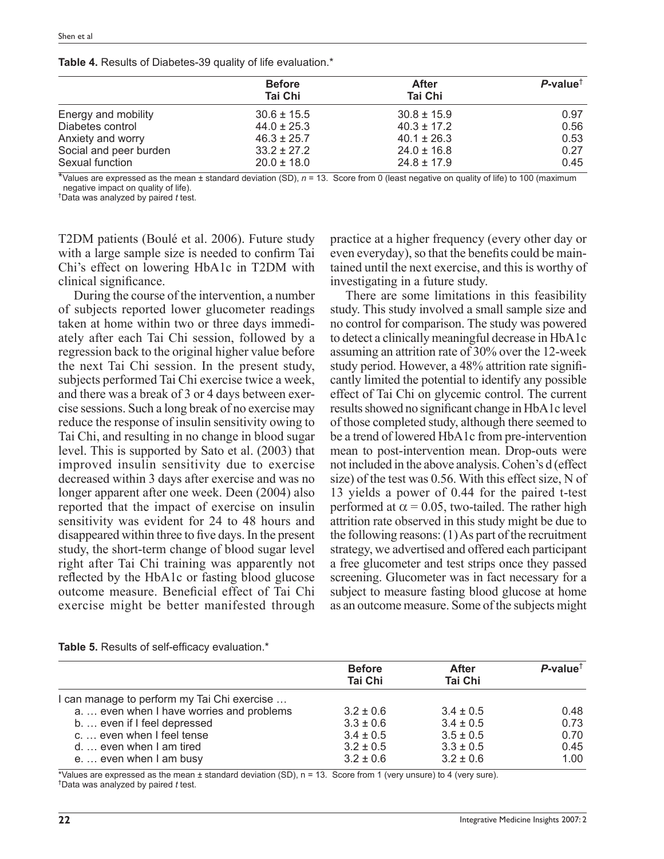| Table 4. Results of Diabetes-39 quality of life evaluation.* |  |  |  |
|--------------------------------------------------------------|--|--|--|
|--------------------------------------------------------------|--|--|--|

|                        | <b>Before</b>   | After           | $P$ -value <sup>†</sup> |
|------------------------|-----------------|-----------------|-------------------------|
|                        | <b>Tai Chi</b>  | <b>Tai Chi</b>  |                         |
| Energy and mobility    | $30.6 \pm 15.5$ | $30.8 \pm 15.9$ | 0.97                    |
| Diabetes control       | $44.0 \pm 25.3$ | $40.3 \pm 17.2$ | 0.56                    |
| Anxiety and worry      | $46.3 \pm 25.7$ | $40.1 \pm 26.3$ | 0.53                    |
| Social and peer burden | $33.2 \pm 27.2$ | $24.0 \pm 16.8$ | 0.27                    |
| Sexual function        | $20.0 \pm 18.0$ | $24.8 \pm 17.9$ | 0.45                    |

\*Values are expressed as the mean ± standard deviation (SD), *n* = 13. Score from 0 (least negative on quality of life) to 100 (maximum negative impact on quality of life).

† Data was analyzed by paired *t* test.

T2DM patients (Boulé et al. 2006). Future study with a large sample size is needed to confirm Tai Chi's effect on lowering HbA1c in T2DM with clinical significance.

During the course of the intervention, a number of subjects reported lower glucometer readings taken at home within two or three days immediately after each Tai Chi session, followed by a regression back to the original higher value before the next Tai Chi session. In the present study, subjects performed Tai Chi exercise twice a week, and there was a break of 3 or 4 days between exercise sessions. Such a long break of no exercise may reduce the response of insulin sensitivity owing to Tai Chi, and resulting in no change in blood sugar level. This is supported by Sato et al. (2003) that improved insulin sensitivity due to exercise decreased within 3 days after exercise and was no longer apparent after one week. Deen (2004) also reported that the impact of exercise on insulin sensitivity was evident for 24 to 48 hours and disappeared within three to five days. In the present study, the short-term change of blood sugar level right after Tai Chi training was apparently not reflected by the HbA1c or fasting blood glucose outcome measure. Beneficial effect of Tai Chi exercise might be better manifested through

practice at a higher frequency (every other day or even everyday), so that the benefits could be maintained until the next exercise, and this is worthy of investigating in a future study.

There are some limitations in this feasibility study. This study involved a small sample size and no control for comparison. The study was powered to detect a clinically meaningful decrease in HbA1c assuming an attrition rate of 30% over the 12-week study period. However, a 48% attrition rate significantly limited the potential to identify any possible effect of Tai Chi on glycemic control. The current results showed no significant change in HbA1c level of those completed study, although there seemed to be a trend of lowered HbA1c from pre-intervention mean to post-intervention mean. Drop-outs were not included in the above analysis. Cohen's d (effect size) of the test was 0.56. With this effect size, N of 13 yields a power of 0.44 for the paired t-test performed at  $\alpha$  = 0.05, two-tailed. The rather high attrition rate observed in this study might be due to the following reasons: (1) As part of the recruitment strategy, we advertised and offered each participant a free glucometer and test strips once they passed screening. Glucometer was in fact necessary for a subject to measure fasting blood glucose at home as an outcome measure. Some of the subjects might

|                                             | <b>Before</b>  | After          | $P$ -value <sup>†</sup> |
|---------------------------------------------|----------------|----------------|-------------------------|
|                                             | <b>Tai Chi</b> | <b>Tai Chi</b> |                         |
| I can manage to perform my Tai Chi exercise |                |                |                         |
| a even when I have worries and problems     | $3.2 \pm 0.6$  | $3.4 \pm 0.5$  | 0.48                    |
| b.  even if I feel depressed                | $3.3 \pm 0.6$  | $3.4 \pm 0.5$  | 0.73                    |
| c.  even when I feel tense                  | $3.4 \pm 0.5$  | $3.5 \pm 0.5$  | 0.70                    |
| d even when I am tired                      | $3.2 \pm 0.5$  | $3.3 \pm 0.5$  | 0.45                    |
| e even when I am busy                       | $3.2 \pm 0.6$  | $3.2 \pm 0.6$  | 1.00                    |

**Table 5.** Results of self-efficacy evaluation.\*

\*Values are expressed as the mean ± standard deviation (SD), n = 13. Score from 1 (very unsure) to 4 (very sure). † Data was analyzed by paired *t* test.